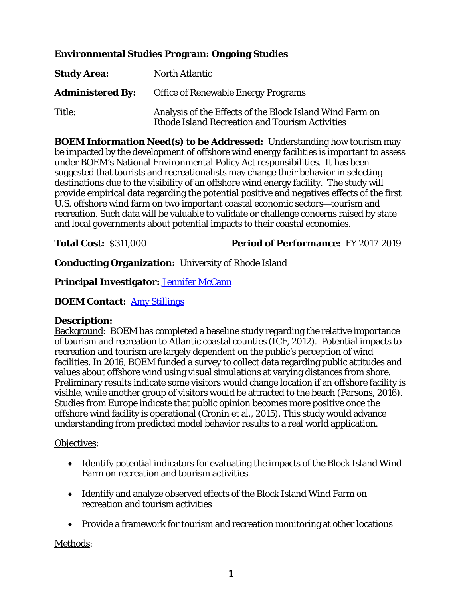# **Environmental Studies Program: Ongoing Studies**

| <b>Study Area:</b>      | <b>North Atlantic</b>                                                                                             |
|-------------------------|-------------------------------------------------------------------------------------------------------------------|
| <b>Administered By:</b> | <b>Office of Renewable Energy Programs</b>                                                                        |
| Title:                  | Analysis of the Effects of the Block Island Wind Farm on<br><b>Rhode Island Recreation and Tourism Activities</b> |

**BOEM Information Need(s) to be Addressed:** Understanding how tourism may be impacted by the development of offshore wind energy facilities is important to assess under BOEM's National Environmental Policy Act responsibilities. It has been suggested that tourists and recreationalists may change their behavior in selecting destinations due to the visibility of an offshore wind energy facility. The study will provide empirical data regarding the potential positive and negatives effects of the first U.S. offshore wind farm on two important coastal economic sectors—tourism and recreation. Such data will be valuable to validate or challenge concerns raised by state and local governments about potential impacts to their coastal economies.

## **Total Cost:** \$311,000 **Period of Performance:** FY 2017-2019

**Conducting Organization:** University of Rhode Island

## **Principal Investigator:** [Jennifer McCann](mailto:mccann@crc.uri.edu)

## **BOEM Contact:** [Amy Stillings](mailto:amy.stillings@boem.gov)

### **Description:**

Background: BOEM has completed a baseline study regarding the relative importance of tourism and recreation to Atlantic coastal counties (ICF, 2012). Potential impacts to recreation and tourism are largely dependent on the public's perception of wind facilities. In 2016, BOEM funded a survey to collect data regarding public attitudes and values about offshore wind using visual simulations at varying distances from shore. Preliminary results indicate some visitors would change location if an offshore facility is visible, while another group of visitors would be attracted to the beach (Parsons, 2016). Studies from Europe indicate that public opinion becomes more positive once the offshore wind facility is operational (Cronin et al., 2015). This study would advance understanding from predicted model behavior results to a real world application.

### Objectives:

- Identify potential indicators for evaluating the impacts of the Block Island Wind Farm on recreation and tourism activities.
- Identify and analyze observed effects of the Block Island Wind Farm on recreation and tourism activities
- Provide a framework for tourism and recreation monitoring at other locations

Methods: